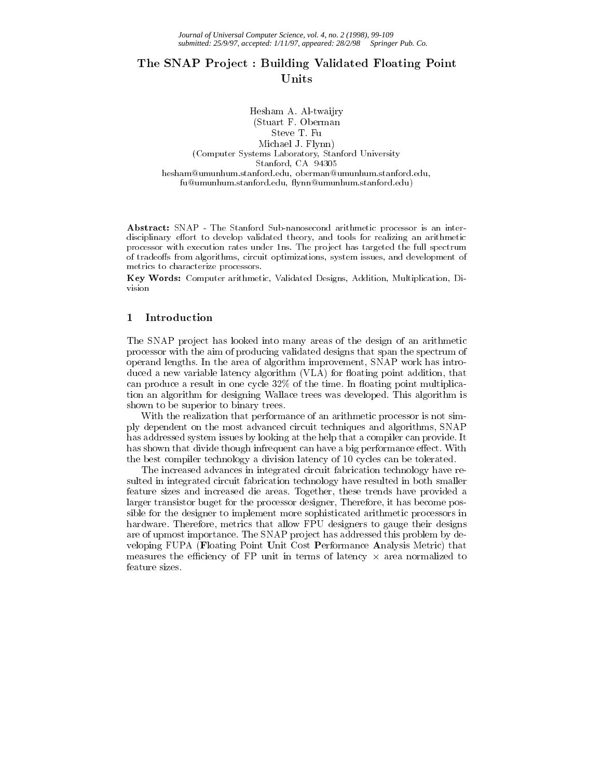# The SNAP Project : Building Validated Floating Point Units

Hesham A. Al-twaijry (Stuart F. Oberman Steve T. Fu Michael J. Flynn) Michael J. Flynn) (Computer Systems Laboratory, Stanford University Stanford, CA 94305 hesham@umunhum.stanford.edu, oberman@umunhum.stanford.edu, fu@umunhum.stanford.edu, flynn@umunhum.stanford.edu)

Abstract: SNAP - The Stanford Sub-nanosecond arithmetic processor is an interdisciplinary effort to develop validated theory, and tools for realizing an arithmetic processor with execution rates under 1ns. The project has targeted the full spectrum of tradeoffs from algorithms, circuit optimizations, system issues, and development of metrics to characterize processors.

Key Words: Computer arithmetic, Validated Designs, Addition, Multiplication, Division

#### 1 Introduction

The SNAP project has looked into many areas of the design of an arithmetic processor with the aim of producing validated designs that span the spectrum of operand lengths. In the area of algorithm improvement, SNAP work has introduced a new variable latency algorithm (VLA) for floating point addition, that can produce a result in one cycle  $32\%$  of the time. In floating point multiplication an algorithm for designing Wallace trees was developed. This algorithm is shown to be superior to binary trees.

With the realization that performance of an arithmetic processor is not simply dependent on the most advanced circuit techniques and algorithms, SNAP has addressed system issues by looking at the help that a compiler can provide. It has shown that divide though infrequent can have a big performance effect. With the best compiler technology a division latency of 10 cycles can be tolerated.

The increased advances in integrated circuit fabrication technology have resulted in integrated circuit fabrication technology have resulted in both smaller feature sizes and increased die areas. Together, these trends have provided a larger transistor buget for the processor designer, Therefore, it has become possible for the designer to implement more sophisticated arithmetic processors in hardware. Therefore, metrics that allow FPU designers to gauge their designs are of upmost importance. The SNAP project has addressed this problem by developing FUPA (Floating Point Unit Cost Performance Analysis Metric) that measures the eciency of FP unitin terms of latency - area normalized to feature sizes.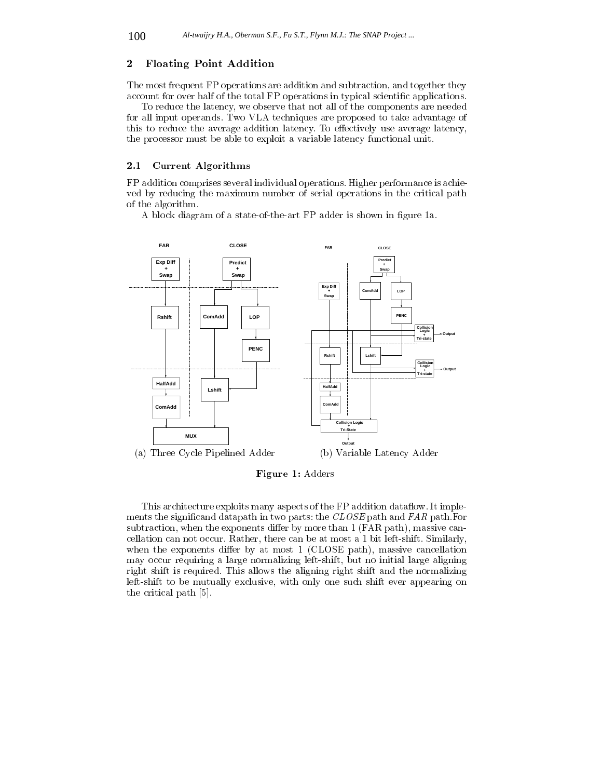## 2 Floating Point Addition

The most frequent FP operations are addition and subtraction, and together they account for over half of the total FP operations in typical scientic applications.

To reduce the latency, we observe that not all of the components are needed for all input operands. Two VLA techniques are proposed to take advantage of this to reduce the average addition latency. To effectively use average latency, the processor must be able to exploit a variable latency functional unit.

#### 2.1 Current Algorithms

FP addition comprises several individual operations. Higher performance is achie ved by reducing the maximum number of serial operations in the critical path of the algorithm.

A block diagram of a state-of-the-art FP adder is shown in figure 1a.



Figure 1: Adders

This architecture exploits many aspects of the FP addition data flow. It implements the signicand datapath in two parts: the CLOSE path and FAR path.For subtraction, when the exponents differ by more than  $1$  (FAR path), massive cancellation can not occur. Rather, there can be at most a 1 bit left-shift. Similarly, when the exponents differ by at most  $1$  (CLOSE path), massive cancellation may occur requiring a large normalizing left-shift, but no initial large aligning right shift is required. This allows the aligning right shift and the normalizing left-shift to be mutually exclusive, with only one such shift ever appearing on the critical path [5].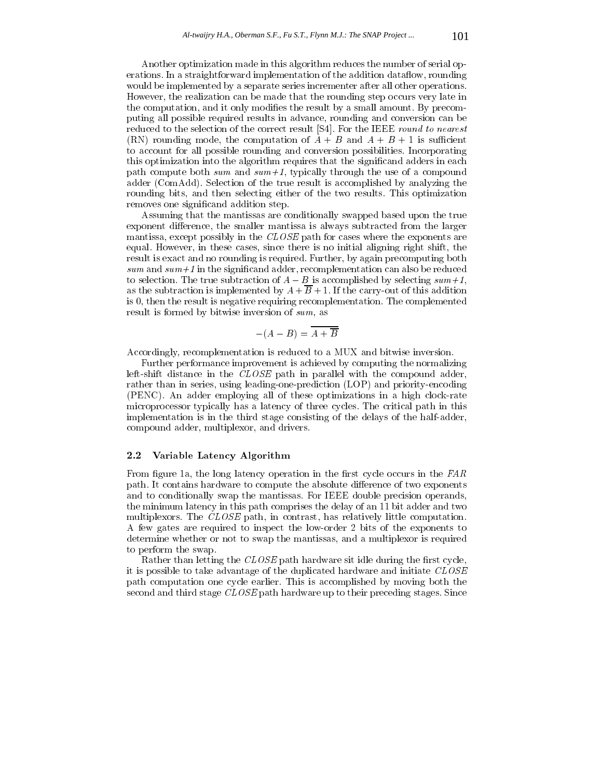Another optimization made in this algorithm reduces the number of serial operations. In a straightforward implementation of the addition data flow, rounding would be implemented by a separate series incrementer after all other operations. However, the realization can be made that the rounding step occurs very late in the computation, and it only modifies the result by a small amount. By precomputing all possible required results in advance, rounding and conversion can be reduced to the selection of the correct result [S4]. For the IEEE round to nearest (RN) rounding mode, the computation of  $A + B$  and  $A + B + 1$  is sufficient to account for all possible rounding and conversion possibilities. Incorporating this optimization into the algorithm requires that the significand adders in each path compute both  $sum$  and  $sum+1$ , typically through the use of a compound adder (ComAdd). Selection of the true result is accomplished by analyzing the rounding bits, and then selecting either of the two results. This optimization removes one significand addition step.

Assuming that the mantissas are conditionally swapped based upon the true exponent difference, the smaller mantissa is always subtracted from the larger mantissa, except possibly in the CLOSE path for cases where the exponents are equal. However, in these cases, since there is no initial aligning right shift, the result is exact and no rounding is required. Further, by again precomputing both  $sum$  and  $sum+1$  in the significand adder, recomplementation can also be reduced to selection. The true subtraction of  $A - B$  is accomplished by selecting  $sum+1$ , as the subtraction is implemented by  $A + \overline{B} + 1$ . If the carry-out of this addition is 0, then the result is negative requiring recomplementation. The complemented result is formed by bitwise inversion of sum, as

$$
-(A-B)=\overline{A+\overline{B}}
$$

Accordingly, recomplementation is reduced to a MUX and bitwise inversion.

Further performance improvement is achieved by computing the normalizing left-shift distance in the CLOSE path in parallel with the compound adder, rather than in series, using leading-one-prediction (LOP) and priority-encoding (PENC). An adder employing all of these optimizations in a high clock-rate microprocessor typically has a latency of three cycles. The critical path in this implementation is in the third stage consisting of the delays of the half-adder, compound adder, multiplexor, and drivers.

# 2.2 Variable Latency Algorithm

From figure 1a, the long latency operation in the first cycle occurs in the  $FAR$ path. It contains hardware to compute the absolute difference of two exponents and to conditionally swap the mantissas. For IEEE double precision operands, the minimum latency in this path comprises the delay of an 11 bit adder and two multiplexors. The CLOSE path, in contrast, has relatively little computation. A few gates are required to inspect the low-order 2 bits of the exponents to determine whether or not to swap the mantissas, and a multiplexor is required to perform the swap.

Rather than letting the  $CLOSE$  path hardware sit idle during the first cycle, it is possible to take advantage of the duplicated hardware and initiate CLOSE path computation one cycle earlier. This is accomplished by moving both the second and third stage CLOSE path hardware up to their preceding stages. Since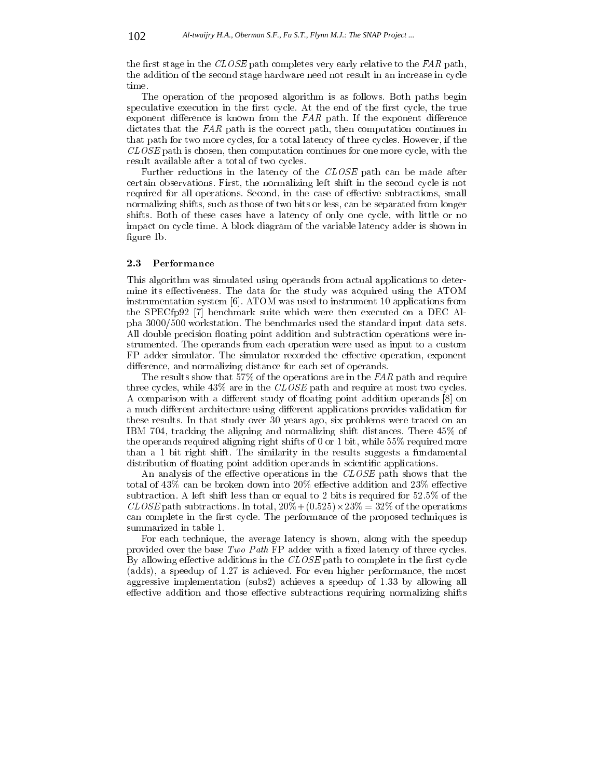the first stage in the  $CLOSE$  path completes very early relative to the FAR path, the addition of the second stage hardware need not result in an increase in cycle

The operation of the proposed algorithm is as follows. Both paths begin speculative execution in the first cycle. At the end of the first cycle, the true exponent difference is known from the  $FAR$  path. If the exponent difference dictates that the FAR path is the correct path, then computation continues in that path for two more cycles, for a total latency of three cycles. However, if the CLOSE path is chosen, then computation continues for one more cycle, with the result available after a total of two cycles.

Further reductions in the latency of the CLOSE path can be made after certain observations. First, the normalizing left shift in the second cycle is not required for all operations. Second, in the case of effective subtractions, small normalizing shifts, such as those of two bits or less, can be separated from longer shifts. Both of these cases have a latency of only one cycle, with little or no impact on cycle time. A block diagram of the variable latency adder is shown in figure 1b.

#### 2.3 Performance

This algorithm was simulated using operands from actual applications to determine its effectiveness. The data for the study was acquired using the ATOM instrumentation system [6]. ATOM was used to instrument 10 applications from the SPECfp92 [7] benchmark suite which were then executed on a DEC Alpha 3000/500 workstation. The benchmarks used the standard input data sets. All double precision floating point addition and subtraction operations were instrumented. The operands from each operation were used as input to a custom FP adder simulator. The simulator recorded the effective operation, exponent difference, and normalizing distance for each set of operands.

The results show that 57% of the operations are in the  $FAR$  path and require three cycles, while  $43\%$  are in the CLOSE path and require at most two cycles. A comparison with a different study of floating point addition operands [8] on a much different architecture using different applications provides validation for these results. In that study over 30 years ago, six problems were traced on an IBM 704, tracking the aligning and normalizing shift distances. There 45% of the operands required aligning right shifts of 0 or 1 bit, while 55% required more than a 1 bit right shift. The similarity in the results suggests a fundamental distribution of floating point addition operands in scientific applications.

An analysis of the effective operations in the  $CLOSE$  path shows that the total of  $43\%$  can be broken down into  $20\%$  effective addition and  $23\%$  effective subtraction. A left shift less than or equal to 2 bits is required for 52.5% of the CLOSE path subtractions. In total, 20%+ (0:525)-23% = 32% of the operations can complete in the first cycle. The performance of the proposed techniques is summarized in table 1.

For each technique, the average latency is shown, along with the speedup provided over the base Two Path FP adder with a fixed latency of three cycles. By allowing effective additions in the  $CLOSE$  path to complete in the first cycle (adds), a speedup of 1.27 is achieved. For even higher performance, the most aggressive implementation (subs2) achieves a speedup of 1.33 by allowing all effective addition and those effective subtractions requiring normalizing shifts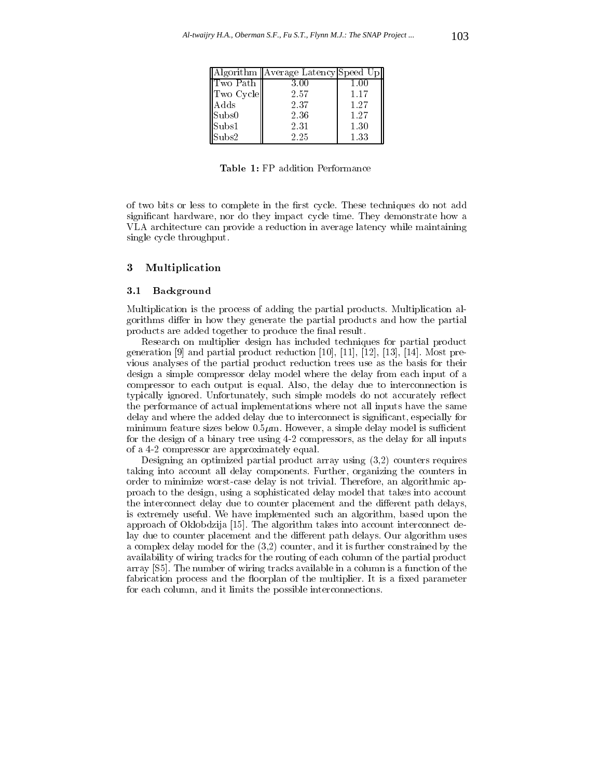|                        | Algorithm   Average Latency Speed Up |      |
|------------------------|--------------------------------------|------|
| ∥Two Path              | 3.00                                 | 1.00 |
| Two Cycle              | 2.57                                 | 1.17 |
| Adds                   | 2.37                                 | 1.27 |
| Subs0                  | 2.36                                 | 1.27 |
| Subs1                  | 2.31                                 | 1.30 |
| $\operatorname{Subs2}$ | 2.25                                 | 1.33 |

Table 1: FP addition Performance

of two bits or less to complete in the first cycle. These techniques do not add signicant hardware, nor do they impact cycle time. They demonstrate how a VLA architecture can provide a reduction in average latency while maintaining single cycle throughput.

## 3 Multiplication

#### 3.1 Background

Multiplication is the process of adding the partial products. Multiplication algorithms differ in how they generate the partial products and how the partial products are added together to produce the final result.

Research on multiplier design has included techniques for partial product generation [9] and partial product reduction [10], [11], [12], [13], [14]. Most previous analyses of the partial product reduction trees use as the basis for their design a simple compressor delay model where the delay from each input of a compressor to each output is equal. Also, the delay due to interconnection is typically ignored. Unfortunately, such simple models do not accurately reflect the performance of actual implementations where not all inputs have the same delay and where the added delay due to interconnect is signicant, especially for minimum feature sizes below  $0.5\mu$ m. However, a simple delay model is sufficient for the design of a binary tree using 4-2 compressors, as the delay for all inputs of a 4-2 compressor are approximately equal.

Designing an optimized partial product array using (3,2) counters requires taking into account all delay components. Further, organizing the counters in order to minimize worst-case delay is not trivial. Therefore, an algorithmic approach to the design, using a sophisticated delay model that takes into account the interconnect delay due to counter placement and the different path delays, is extremely useful. We have implemented such an algorithm, based upon the approach of Oklobdzija [15]. The algorithm takes into account interconnect delay due to counter placement and the different path delays. Our algorithm uses a complex delay model for the (3,2) counter, and it is further constrained by the availability of wiring tracks for the routing of each column of the partial product array [S5]. The number of wiring tracks available in a column is a function of the fabrication process and the floorplan of the multiplier. It is a fixed parameter for each column, and it limits the possible interconnections.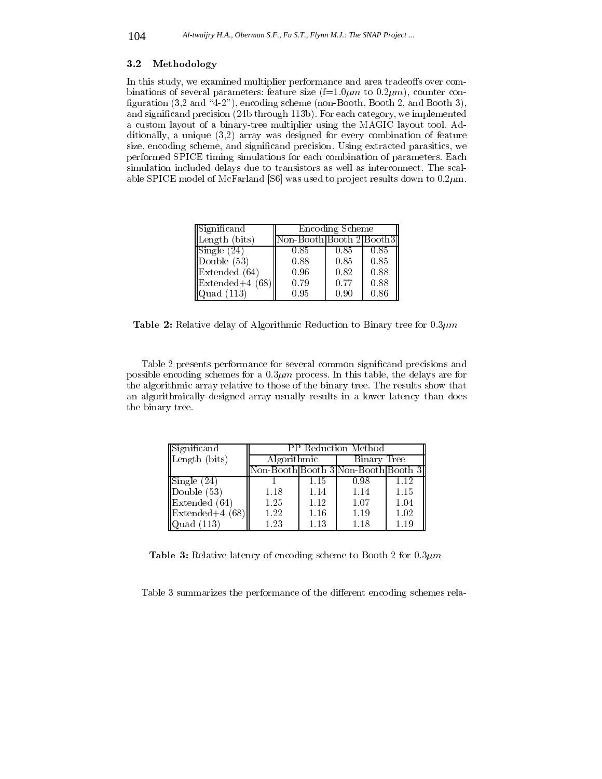#### 3.2 Methodology

In this study, we examined multiplier performance and area tradeoffs over combinations of several parameters: feature size  $(f=1.0 \mu m)$  to  $0.2 \mu m$ , counter configuration  $(3,2 \text{ and } 4-2"$ ), encoding scheme (non-Booth, Booth 2, and Booth 3), and signicand precision (24b through 113b). For each category, we implemented a custom layout of a binary-tree multiplier using the MAGIC layout tool. Additionally, a unique (3,2) array was designed for every combination of feature size, encoding scheme, and signicand precision. Using extracted parasitics, we performed SPICE timing simulations for each combination of parameters. Each simulation included delays due to transistors as well as interconnect. The scalable SPICE model of McFarland [S6] was used to project results down to  $0.2 \mu$ m.

| Significand                     | Encoding Scheme          |      |      |
|---------------------------------|--------------------------|------|------|
| Length (bits)                   | Non-Booth Booth 2 Booth3 |      |      |
| $\text{Single} (24)$            | 0.85                     | 0.85 | 0.85 |
| Double $(53)$                   | 0.88                     | 0.85 | 0.85 |
| Extended (64)                   | 0.96                     | 0.82 | 0.88 |
| $\vert$ Extended+4 (68) $\vert$ | 0.79                     | 0.77 | 0.88 |
| $\alpha$ uad $(113)$            | 0.95                     | 0.90 | 0.86 |

**Table 2:** Relative delay of Algorithmic Reduction to Binary tree for  $0.3 \mu m$ 

Table 2 presents performance for several common signicand precisions and possible encoding schemes for a  $0.3\mu m$  process. In this table, the delays are for the algorithmic array relative to those of the binary tree. The results show that an algorithmically-designed array usually results in a lower latency than does the binary tree.

| Significand                    | PP Reduction Method                 |      |             |      |
|--------------------------------|-------------------------------------|------|-------------|------|
| Length (bits)                  | Algorithmic                         |      | Binary Tree |      |
|                                | Non-Booth Booth 3 Non-Booth Booth 3 |      |             |      |
| $\vert$ Single $(24)$          |                                     | 1.15 | 0.98        | 1.12 |
| $\overline{\text{Double}}(53)$ | 1.18                                | 1.14 | 1.14        | 1.15 |
| $\parallel$ Extended $(64)$    | 1.25                                | 1.12 | 1.07        | 1.04 |
| $\parallel$ Extended+4 (68)    | 1.22                                | 1.16 | 1.19        | 1.02 |
| $\vert$ Quad (113)             | 1.23                                | 1.13 | 1.18        | 1.19 |

**Table 3:** Relative latency of encoding scheme to Booth 2 for  $0.3\mu m$ 

Table 3 summarizes the performance of the different encoding schemes rela-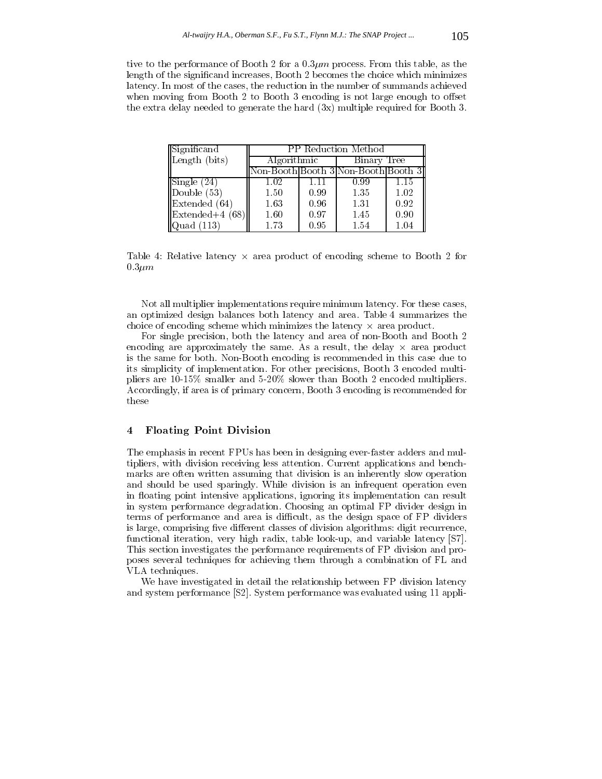tive to the performance of Booth 2 for a  $0.3\mu m$  process. From this table, as the length of the significand increases, Booth 2 becomes the choice which minimizes latency. In most of the cases, the reduction in the number of summands achieved when moving from Booth  $2$  to Booth  $3$  encoding is not large enough to offset the extra delay needed to generate the hard (3x) multiple required for Booth 3.

| Significand                 | PP Reduction Method                 |      |             |      |
|-----------------------------|-------------------------------------|------|-------------|------|
| Length (bits)               | Algorithmic                         |      | Binary Tree |      |
|                             | Non-Booth Booth 3 Non-Booth Booth 3 |      |             |      |
| $\sqrt{\text{Single}(24)}$  | 1.02                                | 1.11 | 0.99        | 1.15 |
| $\Delta$ Double $(53)$      | 1.50                                | 0.99 | 1.35        | 1.02 |
| $\parallel$ Extended (64)   | 1.63                                | 0.96 | 1.31        | 0.92 |
| $\parallel$ Extended+4 (68) | 1.60                                | 0.97 | 1.45        | 0.90 |
| $\vert$ Quad (113)          | 1.73                                | 0.95 | 1.54        | 1.04 |

Table 4:Relative latency - area product of encoding scheme to Booth 2 for  $0.3 \mu m$ 

Not all multiplier implementations require minimum latency. For these cases, an optimized design balances both latency and area. Table 4 summarizes the choice of encoding scheme which minimizes the latency - area product.

For single precision, both the latency and area of non-Booth and Booth 2 encoding are approximately the same. As a result, the delay - area product is the same for both. Non-Booth encoding is recommended in this case due to its simplicity of implementation. For other precisions, Booth 3 encoded multipliers are 10-15% smaller and 5-20% slower than Booth 2 encoded multipliers. Accordingly, if area is of primary concern, Booth 3 encoding is recommended for these

#### 4 Floating Point Division  $\overline{4}$

The emphasis in recent FPUs has been in designing ever-faster adders and multipliers, with division receiving less attention. Current applications and benchmarks are often written assuming that division is an inherently slow operation and should be used sparingly. While division is an infrequent operation even in floating point intensive applications, ignoring its implementation can result in system performance degradation. Choosing an optimal FP divider design in terms of performance and area is difficult, as the design space of FP dividers is large, comprising five different classes of division algorithms: digit recurrence, functional iteration, very high radix, table look-up, and variable latency [S7]. This section investigates the performance requirements of FP division and proposes several techniques for achieving them through a combination of FL and VLA techniques.

We have investigated in detail the relationship between FP division latency and system performance [S2]. System performance was evaluated using 11 appli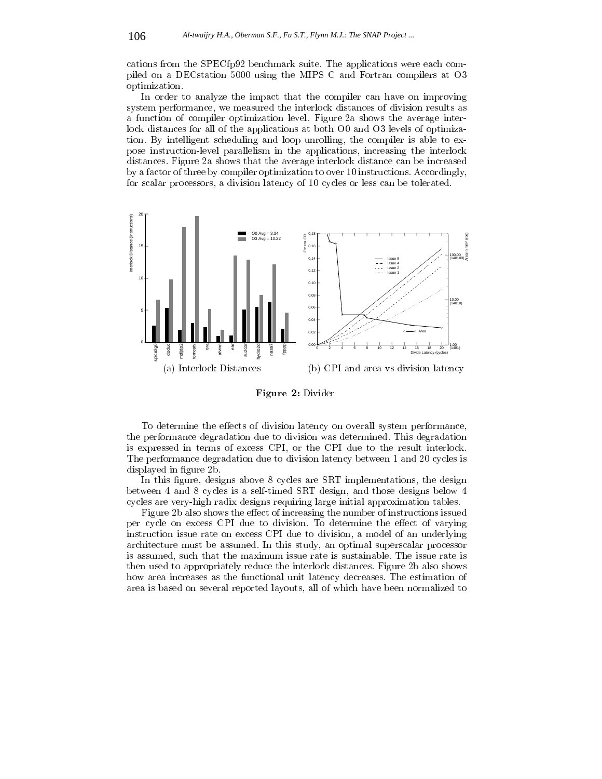cations from the SPECfp92 benchmark suite. The applications were each compiled on a DECstation 5000 using the MIPS C and Fortran compilers at O3 optimization.

In order to analyze the impact that the compiler can have on improving system performance, we measured the interlock distances of division results as a function of compiler optimization level. Figure 2a shows the average interlock distances for all of the applications at both O0 and O3 levels of optimization. By intelligent scheduling and loop unrolling, the compiler is able to expose instruction-level parallelism in the applications, increasing the interlock distances. Figure 2a shows that the average interlock distance can be increased by a factor of three by compiler optimization to over 10 instructions. Accordingly, for scalar processors, a division latency of 10 cycles or less can be tolerated.



Figure 2: Divider

To determine the effects of division latency on overall system performance, the performance degradation due to division was determined. This degradation is expressed in terms of excess CPI, or the CPI due to the result interlock. The performance degradation due to division latency between 1 and 20 cycles is displayed in figure 2b.

In this figure, designs above 8 cycles are SRT implementations, the design between 4 and 8 cycles is a self-timed SRT design, and those designs below 4 cycles are very-high radix designs requiring large initial approximation tables.

Figure 2b also shows the effect of increasing the number of instructions issued per cycle on excess CPI due to division. To determine the effect of varying instruction issue rate on excess CPI due to division, a model of an underlying architecture must be assumed. In this study, an optimal superscalar processor is assumed, such that the maximum issue rate is sustainable. The issue rate is then used to appropriately reduce the interlock distances. Figure 2b also shows how area increases as the functional unit latency decreases. The estimation of area is based on several reported layouts, all of which have been normalized to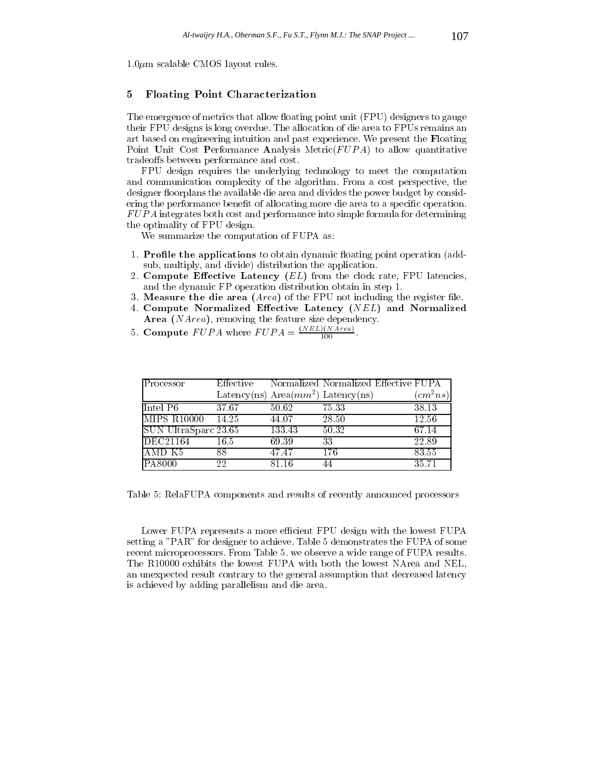$1.0 \mu m$  scalable CMOS layout rules.

# 5 Floating Point Characterization

The emergence of metrics that allow floating point unit (FPU) designers to gauge their FPU designs is long overdue. The allocation of die area to FPUs remains an art based on engineering intuition and past experience. We present the Floating Point Unit Cost Performance Analysis Metric $(FUPA)$  to allow quantitative tradeoffs between performance and cost.

FPU design requires the underlying technology to meet the computation and communication complexity of the algorithm. From a cost perspective, the designer floorplans the available die area and divides the power budget by considering the performance benefit of allocating more die area to a specific operation. FUPA integrates both cost and performance into simple formula for determining the optimality of FPU design.

We summarize the computation of FUPA as:

- 1. Profile the applications to obtain dynamic floating point operation (addsub, multiply, and divide) distribution the application.
- 2. Compute Effective Latency  $(EL)$  from the clock rate, FPU latencies, and the dynamic FP operation distribution obtain in step 1.
- 3. Measure the die area  $(Area)$  of the FPU not including the register file.
- 4. Compute Normalized Effective Latency (NEL) and Normalized Area (NArea), removing the feature size dependency.
- 5. Compute  $FUPA$  where  $FUPA = \frac{(NEL)(NArea)}{100}$ .

| Processor            | Effective |        | Normalized Normalized Effective FUPA  |                          |
|----------------------|-----------|--------|---------------------------------------|--------------------------|
|                      |           |        | Latency(ns) Area $(mm^2)$ Latency(ns) | $\left( cm^{2}ns\right)$ |
| Intel P6             | 37.67     | 50.62  | 75.33                                 | 38.13                    |
| IMIPS R10000         | 14.25     | 44.07  | 28.50                                 | 12.56                    |
| SUN UltraSparc 23.65 |           | 133.43 | 50.32                                 | 67.14                    |
| DEC21164             | 16.5      | 69.39  | 33                                    | 22.89                    |
| 'AMD K5              | 88        | 47.47  | 176                                   | 83.55                    |
| PA8000               | 22        | 81 16  | 44                                    | 35.71                    |

Table 5: RelaFUPA components and results of recently announced processors

Lower FUPA represents a more efficient FPU design with the lowest FUPA setting a "PAR" for designer to achieve. Table 5 demonstrates the FUPA of some recent microprocessors. From Table 5. we observe a wide range of FUPA results. The R10000 exhibits the lowest FUPA with both the lowest NArea and NEL, an unexpected result contrary to the general assumption that decreased latency is achieved by adding parallelism and die area.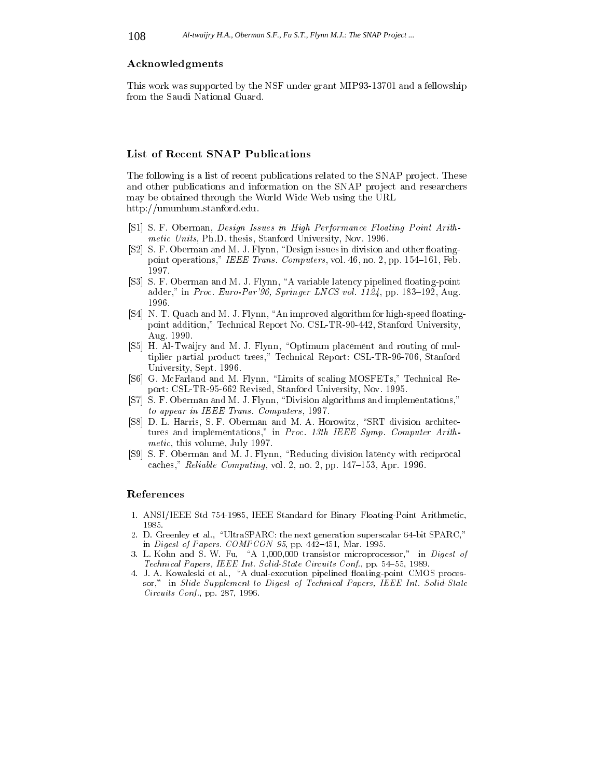#### Acknowledgments

This work was supported by the NSF under grant MIP93-13701 and a fellowship from the Saudi National Guard.

# List of Recent SNAP Publications

The following is a list of recent publications related to the SNAP project. These and other publications and information on the SNAP project and researchers may be obtained through the World Wide Web using the URL http://umunhum.stanford.edu.

- [S1] S. F. Oberman, Design Issues in High Performance Floating Point Arithmetic Units, Ph.D. thesis, Stanford University, Nov. 1996.
- [S2] S. F. Oberman and M. J. Flynn, "Design issues in division and other floatingpoint operations," IEEE Trans. Computers, vol. 46, no. 2, pp. 154-161, Feb. 1997.
- [S3] S. F. Oberman and M. J. Flynn, "A variable latency pipelined floating-point adder," in Proc. Euro-Par'96, Springer LNCS vol.  $1124$ , pp. 183–192, Aug. 1996.
- [S4] N. T. Quach and M. J. Flynn, "An improved algorithm for high-speed floatingpoint addition," Technical Report No. CSL-TR-90-442, Stanford University, Aug. 1990.
- [S5] H. Al-Twaijry and M. J. Flynn, "Optimum placement and routing of multiplier partial product trees," Technical Report: CSL-TR-96-706, Stanford University, Sept. 1996.
- [S6] G. McFarland and M. Flynn, "Limits of scaling MOSFETs," Technical Report: CSL-TR-95-662 Revised, Stanford University, Nov. 1995.
- [S7] S. F. Oberman and M. J. Flynn, "Division algorithms and implementations," to appear in IEEE Trans. Computers, 1997.
- [S8] D. L. Harris, S. F. Oberman and M. A. Horowitz, "SRT division architectures and implementations," in Proc. 13th IEEE Symp. Computer Arithmetic, this volume, July 1997.
- [S9] S. F. Oberman and M. J. Flynn, "Reducing division latency with reciprocal caches," Reliable Computing, vol. 2, no. 2, pp.  $147-153$ , Apr. 1996.

#### References

- 1. ANSI/IEEE Std 754-1985, IEEE Standard for Binary Floating-Point Arithmetic, 1985.
- 2. D. Greenley et al., \UltraSPARC: the next generation superscalar 64-bit SPARC," in Digest of Papers. COMPCON 95, pp. 442-451, Mar. 1995.
- 3. L. Kohn and S. W. Fu, "A 1,000,000 transistor microprocessor," in Digest of Technical Papers, IEEE Int. Solid-State Circuits Conf., pp. 54-55, 1989.
- 4. J. A. Kowaleski et al., "A dual-execution pipelined floating-point CMOS processor," in Slide Supplement to Digest of Technical Papers, IEEE Int. Solid-State Circuits Conf., pp. 287, 1996.